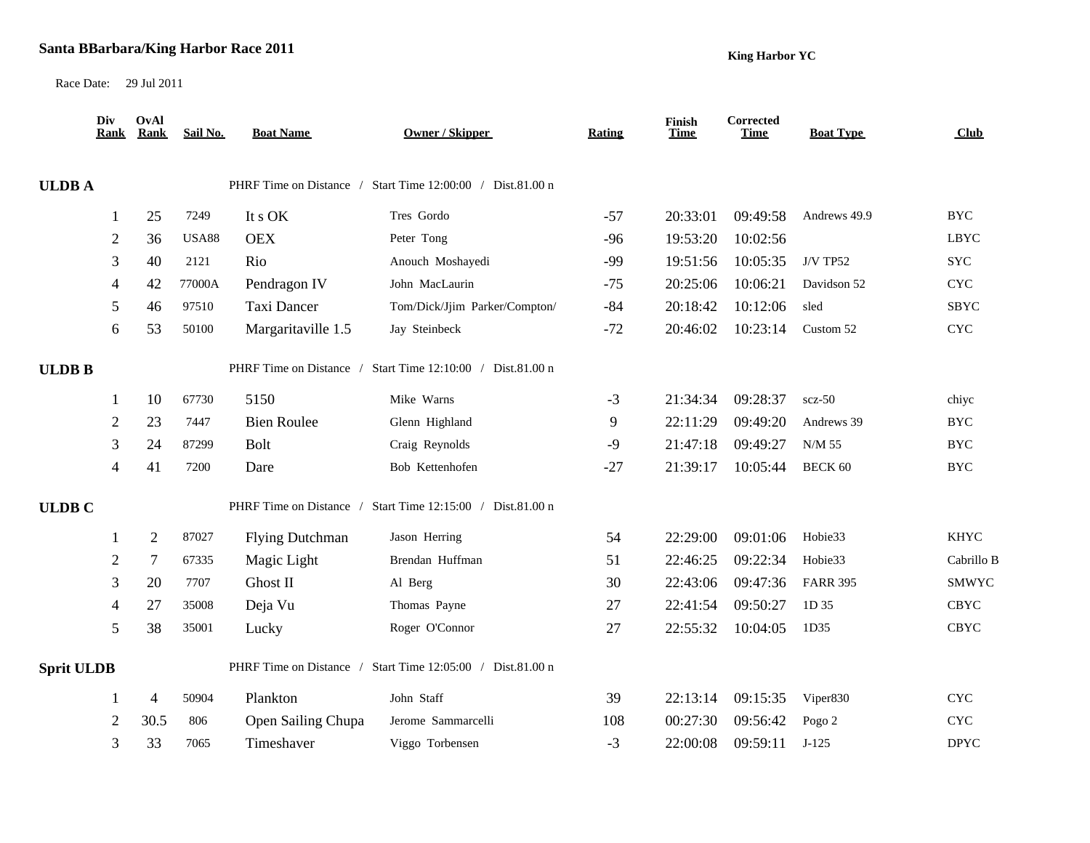## **Santa BBarbara/King Harbor Race 2011**

**King Harbor YC**

Race Date: 29 Jul 2011

|                   | Div<br><b>Rank</b> | OvAl<br>Rank   | Sail No.     | <b>Boat Name</b>       | <b>Owner / Skipper</b>                                     | <b>Rating</b> | Finish<br><b>Time</b> | Corrected<br><b>Time</b> | <b>Boat Type</b> | Club                      |
|-------------------|--------------------|----------------|--------------|------------------------|------------------------------------------------------------|---------------|-----------------------|--------------------------|------------------|---------------------------|
| <b>ULDBA</b>      |                    |                |              |                        | PHRF Time on Distance / Start Time 12:00:00 / Dist.81.00 n |               |                       |                          |                  |                           |
|                   |                    | 25             | 7249         | It s OK                | Tres Gordo                                                 | $-57$         | 20:33:01              | 09:49:58                 | Andrews 49.9     | <b>BYC</b>                |
|                   | $\overline{c}$     | 36             | <b>USA88</b> | <b>OEX</b>             | Peter Tong                                                 | $-96$         | 19:53:20              | 10:02:56                 |                  | <b>LBYC</b>               |
|                   | 3                  | 40             | 2121         | Rio                    | Anouch Moshayedi                                           | $-99$         | 19:51:56              | 10:05:35                 | <b>J/V TP52</b>  | <b>SYC</b>                |
|                   | 4                  | 42             | 77000A       | Pendragon IV           | John MacLaurin                                             | $-75$         | 20:25:06              | 10:06:21                 | Davidson 52      | <b>CYC</b>                |
|                   | 5                  | 46             | 97510        | Taxi Dancer            | Tom/Dick/Jjim Parker/Compton/                              | $-84$         | 20:18:42              | 10:12:06                 | sled             | SBYC                      |
|                   | 6                  | 53             | 50100        | Margaritaville 1.5     | Jay Steinbeck                                              | $-72$         | 20:46:02              | 10:23:14                 | Custom 52        | $\ensuremath{\text{CYC}}$ |
| <b>ULDB B</b>     |                    |                |              |                        | PHRF Time on Distance / Start Time 12:10:00 / Dist.81.00 n |               |                       |                          |                  |                           |
|                   |                    | 10             | 67730        | 5150                   | Mike Warns                                                 | $-3$          | 21:34:34              | 09:28:37                 | $scz-50$         | chiye                     |
|                   | $\overline{c}$     | 23             | 7447         | <b>Bien Roulee</b>     | Glenn Highland                                             | 9             | 22:11:29              | 09:49:20                 | Andrews 39       | <b>BYC</b>                |
|                   | 3                  | 24             | 87299        | <b>Bolt</b>            | Craig Reynolds                                             | $-9$          | 21:47:18              | 09:49:27                 | N/M 55           | $_{\mathrm{BYC}}$         |
|                   | $\overline{4}$     | 41             | 7200         | Dare                   | Bob Kettenhofen                                            | $-27$         | 21:39:17              | 10:05:44                 | <b>BECK 60</b>   | <b>BYC</b>                |
| <b>ULDB C</b>     |                    |                |              |                        | PHRF Time on Distance / Start Time 12:15:00 / Dist.81.00 n |               |                       |                          |                  |                           |
|                   |                    | $\overline{2}$ | 87027        | <b>Flying Dutchman</b> | Jason Herring                                              | 54            | 22:29:00              | 09:01:06                 | Hobie33          | <b>KHYC</b>               |
|                   | $\overline{c}$     | $\overline{7}$ | 67335        | Magic Light            | Brendan Huffman                                            | 51            | 22:46:25              | 09:22:34                 | Hobie33          | Cabrillo B                |
|                   | 3                  | 20             | 7707         | Ghost II               | Al Berg                                                    | 30            | 22:43:06              | 09:47:36                 | <b>FARR 395</b>  | <b>SMWYC</b>              |
|                   | $\overline{4}$     | 27             | 35008        | Deja Vu                | Thomas Payne                                               | $27\,$        | 22:41:54              | 09:50:27                 | 1D 35            | CBYC                      |
|                   | 5                  | 38             | 35001        | Lucky                  | Roger O'Connor                                             | 27            | 22:55:32              | 10:04:05                 | 1D35             | <b>CBYC</b>               |
| <b>Sprit ULDB</b> |                    |                |              |                        | PHRF Time on Distance / Start Time 12:05:00 / Dist.81.00 n |               |                       |                          |                  |                           |
|                   |                    | $\overline{4}$ | 50904        | Plankton               | John Staff                                                 | 39            | 22:13:14              | 09:15:35                 | Viper830         | $\ensuremath{\text{CYC}}$ |
|                   | 2                  | 30.5           | 806          | Open Sailing Chupa     | Jerome Sammarcelli                                         | 108           | 00:27:30              | 09:56:42                 | Pogo 2           | $\ensuremath{\text{CYC}}$ |
|                   | 3                  | 33             | 7065         | Timeshaver             | Viggo Torbensen                                            | $-3$          | 22:00:08              | 09:59:11                 | $J-125$          | <b>DPYC</b>               |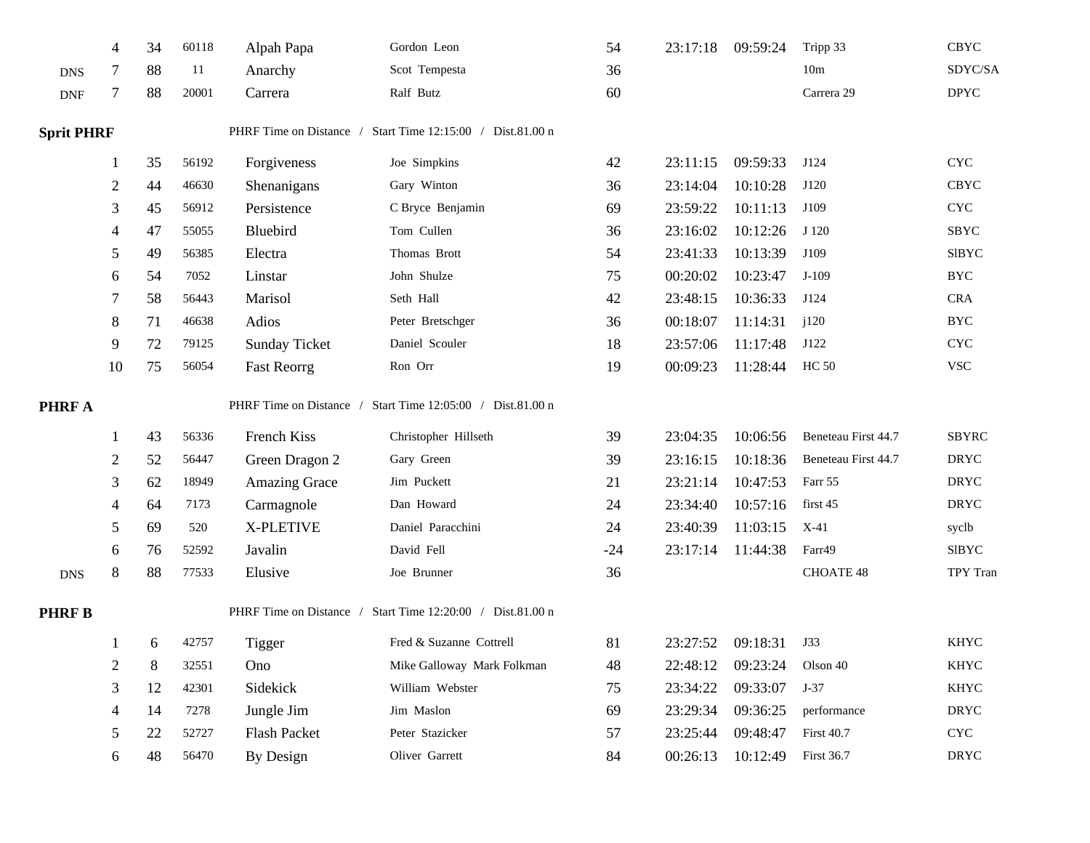|                   | $\overline{4}$ | 34 | 60118 | Alpah Papa              | Gordon Leon                                                | 54    | 23:17:18 | 09:59:24     | Tripp 33            | <b>CBYC</b>                |
|-------------------|----------------|----|-------|-------------------------|------------------------------------------------------------|-------|----------|--------------|---------------------|----------------------------|
| <b>DNS</b>        | 7              | 88 | 11    | Anarchy                 | Scot Tempesta                                              | 36    |          |              | 10m                 | SDYC/SA                    |
| <b>DNF</b>        | $\tau$         | 88 | 20001 | Carrera                 | Ralf Butz                                                  | 60    |          |              | Carrera 29          | $\ensuremath{\text{DPYC}}$ |
| <b>Sprit PHRF</b> |                |    |       |                         | PHRF Time on Distance / Start Time 12:15:00 / Dist.81.00 n |       |          |              |                     |                            |
|                   |                | 35 | 56192 | Forgiveness             | Joe Simpkins                                               | 42    | 23:11:15 | 09:59:33     | J124                | <b>CYC</b>                 |
|                   | $\overline{2}$ | 44 | 46630 | Shenanigans             | Gary Winton                                                | 36    | 23:14:04 | 10:10:28     | J120                | <b>CBYC</b>                |
|                   | 3              | 45 | 56912 | Persistence             | C Bryce Benjamin                                           | 69    | 23:59:22 | 10:11:13     | J109                | <b>CYC</b>                 |
|                   | $\overline{4}$ | 47 | 55055 | Bluebird                | Tom Cullen                                                 | 36    | 23:16:02 | 10:12:26     | J 120               | SBYC                       |
|                   | 5              | 49 | 56385 | Electra                 | Thomas Brott                                               | 54    | 23:41:33 | 10:13:39     | J109                | SIBYC                      |
|                   | 6              | 54 | 7052  | Linstar                 | John Shulze                                                | 75    | 00:20:02 | 10:23:47     | $J-109$             | <b>BYC</b>                 |
|                   | 7              | 58 | 56443 | Marisol                 | Seth Hall                                                  | 42    | 23:48:15 | 10:36:33     | J124                | <b>CRA</b>                 |
|                   | 8              | 71 | 46638 | Adios                   | Peter Bretschger                                           | 36    | 00:18:07 | 11:14:31     | j120                | <b>BYC</b>                 |
|                   | 9              | 72 | 79125 | <b>Sunday Ticket</b>    | Daniel Scouler                                             | 18    | 23:57:06 | 11:17:48     | J122                | <b>CYC</b>                 |
|                   | 10             | 75 | 56054 | <b>Fast Reorrg</b>      | Ron Orr                                                    | 19    | 00:09:23 | 11:28:44     | <b>HC 50</b>        | <b>VSC</b>                 |
| PHRF A            |                |    |       | PHRF Time on Distance / | Start Time 12:05:00 / Dist.81.00 n                         |       |          |              |                     |                            |
|                   |                | 43 | 56336 | French Kiss             | Christopher Hillseth                                       | 39    | 23:04:35 | 10:06:56     | Beneteau First 44.7 | <b>SBYRC</b>               |
|                   | $\overline{2}$ | 52 | 56447 | Green Dragon 2          | Gary Green                                                 | 39    | 23:16:15 | 10:18:36     | Beneteau First 44.7 | <b>DRYC</b>                |
|                   | 3              | 62 | 18949 | <b>Amazing Grace</b>    | Jim Puckett                                                | 21    | 23:21:14 | 10:47:53     | Farr 55             | <b>DRYC</b>                |
|                   | 4              | 64 | 7173  | Carmagnole              | Dan Howard                                                 | 24    | 23:34:40 | 10:57:16     | first 45            | <b>DRYC</b>                |
|                   | 5              | 69 | 520   | X-PLETIVE               | Daniel Paracchini                                          | 24    | 23:40:39 | 11:03:15     | X-41                | syclb                      |
|                   | 6              | 76 | 52592 | Javalin                 | David Fell                                                 | $-24$ | 23:17:14 | 11:44:38     | Farr49              | SIBYC                      |
| <b>DNS</b>        | $\,8\,$        | 88 | 77533 | Elusive                 | Joe Brunner                                                | 36    |          |              | CHOATE 48           | TPY Tran                   |
| <b>PHRFB</b>      |                |    |       |                         | PHRF Time on Distance / Start Time 12:20:00 / Dist.81.00 n |       |          |              |                     |                            |
|                   |                | 6  | 42757 | <b>Tigger</b>           | Fred & Suzanne Cottrell                                    | 81    | 23:27:52 | 09:18:31 J33 |                     | <b>KHYC</b>                |
|                   | 2              | 8  | 32551 | Ono                     | Mike Galloway Mark Folkman                                 | 48    | 22:48:12 | 09:23:24     | Olson 40            | <b>KHYC</b>                |
|                   | 3              | 12 | 42301 | Sidekick                | William Webster                                            | 75    | 23:34:22 | 09:33:07     | $J-37$              | <b>KHYC</b>                |
|                   | 4              | 14 | 7278  | Jungle Jim              | Jim Maslon                                                 | 69    | 23:29:34 | 09:36:25     | performance         | <b>DRYC</b>                |
|                   | 5              | 22 | 52727 | Flash Packet            | Peter Stazicker                                            | 57    | 23:25:44 | 09:48:47     | <b>First 40.7</b>   | <b>CYC</b>                 |
|                   | 6              | 48 | 56470 | <b>By Design</b>        | Oliver Garrett                                             | 84    | 00:26:13 | 10:12:49     | First 36.7          | <b>DRYC</b>                |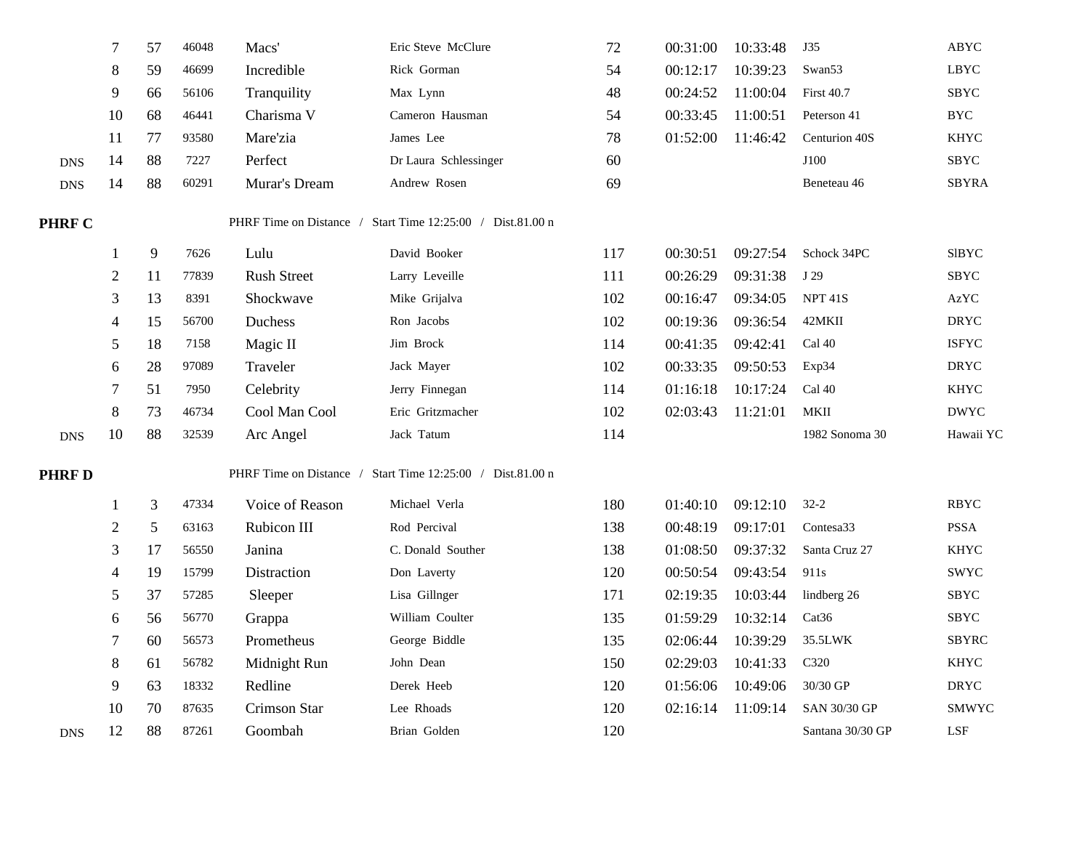|               | 7              | 57             | 46048 | Macs'              | Eric Steve McClure                                         | 72  | 00:31:00 | 10:33:48 | J35               | ABYC         |
|---------------|----------------|----------------|-------|--------------------|------------------------------------------------------------|-----|----------|----------|-------------------|--------------|
|               | 8              | 59             | 46699 | Incredible         | Rick Gorman                                                | 54  | 00:12:17 | 10:39:23 | Swan53            | <b>LBYC</b>  |
|               | 9              | 66             | 56106 | Tranquility        | Max Lynn                                                   | 48  | 00:24:52 | 11:00:04 | <b>First 40.7</b> | <b>SBYC</b>  |
|               | 10             | 68             | 46441 | Charisma V         | Cameron Hausman                                            | 54  | 00:33:45 | 11:00:51 | Peterson 41       | <b>BYC</b>   |
|               | 11             | 77             | 93580 | Mare'zia           | James Lee                                                  | 78  | 01:52:00 | 11:46:42 | Centurion 40S     | <b>KHYC</b>  |
| <b>DNS</b>    | 14             | 88             | 7227  | Perfect            | Dr Laura Schlessinger                                      | 60  |          |          | J100              | SBYC         |
| <b>DNS</b>    | 14             | 88             | 60291 | Murar's Dream      | Andrew Rosen                                               | 69  |          |          | Beneteau 46       | <b>SBYRA</b> |
| <b>PHRF C</b> |                |                |       |                    | PHRF Time on Distance / Start Time 12:25:00 / Dist.81.00 n |     |          |          |                   |              |
|               |                | 9              | 7626  | Lulu               | David Booker                                               | 117 | 00:30:51 | 09:27:54 | Schock 34PC       | <b>SIBYC</b> |
|               | $\overline{c}$ | 11             | 77839 | <b>Rush Street</b> | Larry Leveille                                             | 111 | 00:26:29 | 09:31:38 | J 29              | <b>SBYC</b>  |
|               | 3              | 13             | 8391  | Shockwave          | Mike Grijalva                                              | 102 | 00:16:47 | 09:34:05 | <b>NPT 41S</b>    | AzYC         |
|               | 4              | 15             | 56700 | Duchess            | Ron Jacobs                                                 | 102 | 00:19:36 | 09:36:54 | 42MKII            | <b>DRYC</b>  |
|               | 5              | 18             | 7158  | Magic II           | Jim Brock                                                  | 114 | 00:41:35 | 09:42:41 | Cal 40            | <b>ISFYC</b> |
|               | 6              | 28             | 97089 | Traveler           | Jack Mayer                                                 | 102 | 00:33:35 | 09:50:53 | Exp34             | <b>DRYC</b>  |
|               |                | 51             | 7950  | Celebrity          | Jerry Finnegan                                             | 114 | 01:16:18 | 10:17:24 | Cal 40            | <b>KHYC</b>  |
|               | 8              | 73             | 46734 | Cool Man Cool      | Eric Gritzmacher                                           | 102 | 02:03:43 | 11:21:01 | <b>MKII</b>       | <b>DWYC</b>  |
| <b>DNS</b>    | 10             | 88             | 32539 | Arc Angel          | Jack Tatum                                                 | 114 |          |          | 1982 Sonoma 30    | Hawaii YC    |
| <b>PHRF D</b> |                |                |       |                    | PHRF Time on Distance / Start Time 12:25:00 / Dist.81.00 n |     |          |          |                   |              |
|               |                | $\mathfrak{Z}$ | 47334 | Voice of Reason    | Michael Verla                                              | 180 | 01:40:10 | 09:12:10 | $32 - 2$          | <b>RBYC</b>  |
|               | $\overline{2}$ | 5              | 63163 | Rubicon III        | Rod Percival                                               | 138 | 00:48:19 | 09:17:01 | Contesa33         | <b>PSSA</b>  |
|               | 3              | 17             | 56550 | Janina             | C. Donald Souther                                          | 138 | 01:08:50 | 09:37:32 | Santa Cruz 27     | <b>KHYC</b>  |
|               | 4              | 19             | 15799 | Distraction        | Don Laverty                                                | 120 | 00:50:54 | 09:43:54 | 911s              | <b>SWYC</b>  |
|               | 5              | 37             | 57285 | Sleeper            | Lisa Gillnger                                              | 171 | 02:19:35 | 10:03:44 | lindberg 26       | SBYC         |
|               | 6              | 56             | 56770 | Grappa             | William Coulter                                            | 135 | 01:59:29 | 10:32:14 | Cat36             | <b>SBYC</b>  |
|               |                | 60             | 56573 | Prometheus         | George Biddle                                              | 135 | 02:06:44 | 10:39:29 | 35.5LWK           | <b>SBYRC</b> |
|               | 8              | 61             | 56782 | Midnight Run       | John Dean                                                  | 150 | 02:29:03 | 10:41:33 | C320              | <b>KHYC</b>  |
|               | 9              | 63             | 18332 | Redline            | Derek Heeb                                                 | 120 | 01:56:06 | 10:49:06 | 30/30 GP          | <b>DRYC</b>  |
|               | 10             | 70             | 87635 | Crimson Star       | Lee Rhoads                                                 | 120 | 02:16:14 | 11:09:14 | SAN 30/30 GP      | SMWYC        |
| <b>DNS</b>    | 12             | 88             | 87261 | Goombah            | Brian Golden                                               | 120 |          |          | Santana 30/30 GP  | LSF          |